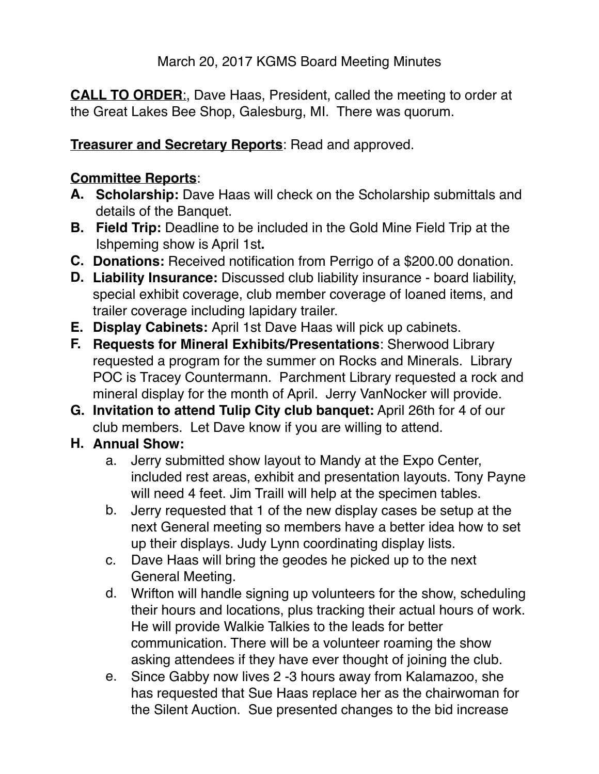**CALL TO ORDER**:, Dave Haas, President, called the meeting to order at the Great Lakes Bee Shop, Galesburg, MI. There was quorum.

**Treasurer and Secretary Reports**: Read and approved.

### **Committee Reports**:

- **A. Scholarship:** Dave Haas will check on the Scholarship submittals and details of the Banquet.
- **B. Field Trip:** Deadline to be included in the Gold Mine Field Trip at the Ishpeming show is April 1st**.**
- **C. Donations:** Received notification from Perrigo of a \$200.00 donation.
- **D. Liability Insurance:** Discussed club liability insurance board liability, special exhibit coverage, club member coverage of loaned items, and trailer coverage including lapidary trailer.
- **E. Display Cabinets:** April 1st Dave Haas will pick up cabinets.
- **F. Requests for Mineral Exhibits/Presentations**: Sherwood Library requested a program for the summer on Rocks and Minerals. Library POC is Tracey Countermann. Parchment Library requested a rock and mineral display for the month of April. Jerry VanNocker will provide.
- **G. Invitation to attend Tulip City club banquet:** April 26th for 4 of our club members. Let Dave know if you are willing to attend.

## **H. Annual Show:**

- a. Jerry submitted show layout to Mandy at the Expo Center, included rest areas, exhibit and presentation layouts. Tony Payne will need 4 feet. Jim Traill will help at the specimen tables.
- b. Jerry requested that 1 of the new display cases be setup at the next General meeting so members have a better idea how to set up their displays. Judy Lynn coordinating display lists.
- c. Dave Haas will bring the geodes he picked up to the next General Meeting.
- d. Wrifton will handle signing up volunteers for the show, scheduling their hours and locations, plus tracking their actual hours of work. He will provide Walkie Talkies to the leads for better communication. There will be a volunteer roaming the show asking attendees if they have ever thought of joining the club.
- e. Since Gabby now lives 2 -3 hours away from Kalamazoo, she has requested that Sue Haas replace her as the chairwoman for the Silent Auction. Sue presented changes to the bid increase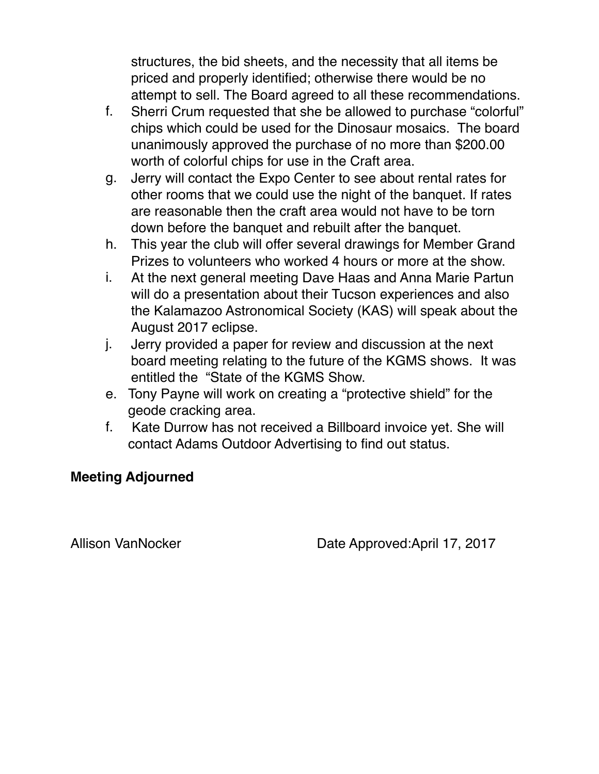structures, the bid sheets, and the necessity that all items be priced and properly identified; otherwise there would be no attempt to sell. The Board agreed to all these recommendations.

- f. Sherri Crum requested that she be allowed to purchase "colorful" chips which could be used for the Dinosaur mosaics. The board unanimously approved the purchase of no more than \$200.00 worth of colorful chips for use in the Craft area.
- g. Jerry will contact the Expo Center to see about rental rates for other rooms that we could use the night of the banquet. If rates are reasonable then the craft area would not have to be torn down before the banquet and rebuilt after the banquet.
- h. This year the club will offer several drawings for Member Grand Prizes to volunteers who worked 4 hours or more at the show.
- i. At the next general meeting Dave Haas and Anna Marie Partun will do a presentation about their Tucson experiences and also the Kalamazoo Astronomical Society (KAS) will speak about the August 2017 eclipse.
- j. Jerry provided a paper for review and discussion at the next board meeting relating to the future of the KGMS shows. It was entitled the "State of the KGMS Show.
- e. Tony Payne will work on creating a "protective shield" for the geode cracking area.
- f. Kate Durrow has not received a Billboard invoice yet. She will contact Adams Outdoor Advertising to find out status.

#### **Meeting Adjourned**

Allison VanNocker Date Approved:April 17, 2017